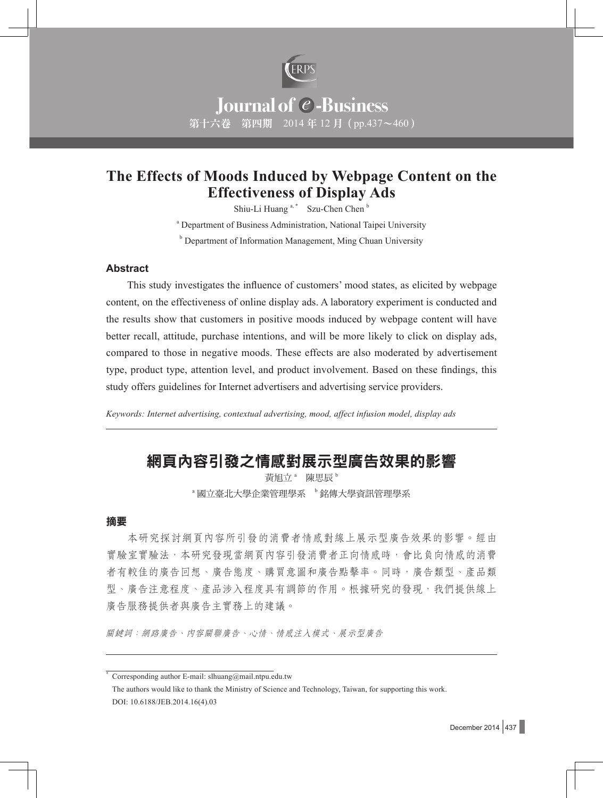

# **Journal of @-Business** 第十六卷 第四期 2014年12月 (pp.437~460)

## **The Effects of Moods Induced by Webpage Content on the Effectiveness of Display Ads**

Shiu-Li Huang<sup>a,\*</sup> Szu-Chen Chen<sup>b</sup>

<sup>a</sup> Department of Business Administration, National Taipei University **b** Department of Information Management, Ming Chuan University

#### **Abstract**

This study investigates the influence of customers' mood states, as elicited by webpage content, on the effectiveness of online display ads. A laboratory experiment is conducted and the results show that customers in positive moods induced by webpage content will have better recall, attitude, purchase intentions, and will be more likely to click on display ads, compared to those in negative moods. These effects are also moderated by advertisement type, product type, attention level, and product involvement. Based on these findings, this study offers guidelines for Internet advertisers and advertising service providers.

*Keywords: Internet advertising, contextual advertising, mood, affect infusion model, display ads*

## 網頁內容引發之情感對展示型廣告效果的影響

黃旭立<sup>。</sup>陳思辰<sup>b</sup> <sup>a</sup> 國立臺北大學企業管理學系 <sup>b</sup> 銘傳大學資訊管理學系

#### 摘要

本研究探討網頁內容所引發的消費者情感對線上展示型廣告效果的影響。經由 實驗室實驗法,本研究發現當網頁內容引發消費者正向情感時,會比負向情感的消費 者有較佳的廣告回想、廣告態度、購買意圖和廣告點擊率。同時,廣告類型、產品類 型、廣告注意程度、產品涉入程度具有調節的作用。根據研究的發現,我們提供線上 廣告服務提供者與廣告主實務上的建議。

關鍵詞:網路廣告、內容關聯廣告、心情、情感注入模式、展示型廣告

Corresponding author E-mail: slhuang@mail.ntpu.edu.tw

The authors would like to thank the Ministry of Science and Technology, Taiwan, for supporting this work. DOI: 10.6188/JEB.2014.16(4).03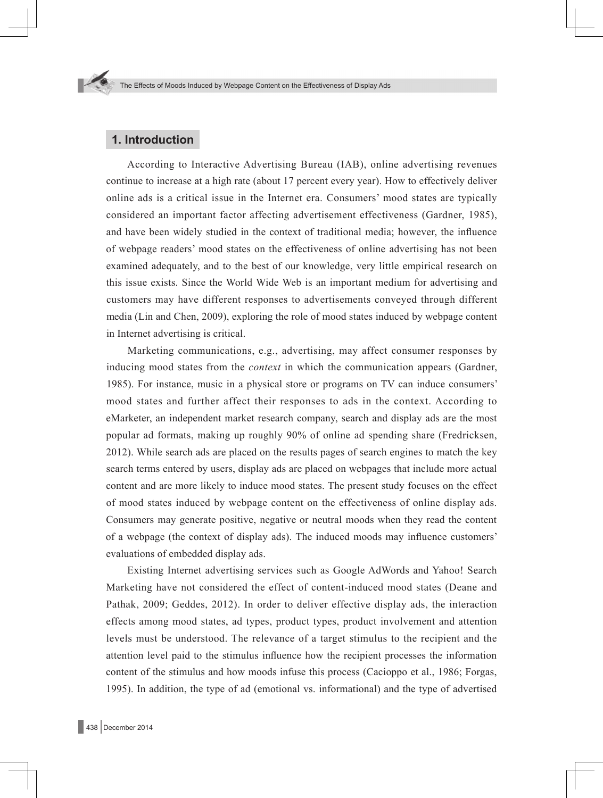## **1. Introduction**

According to Interactive Advertising Bureau (IAB), online advertising revenues continue to increase at a high rate (about 17 percent every year). How to effectively deliver online ads is a critical issue in the Internet era. Consumers' mood states are typically considered an important factor affecting advertisement effectiveness (Gardner, 1985), and have been widely studied in the context of traditional media; however, the influence of webpage readers' mood states on the effectiveness of online advertising has not been examined adequately, and to the best of our knowledge, very little empirical research on this issue exists. Since the World Wide Web is an important medium for advertising and customers may have different responses to advertisements conveyed through different media (Lin and Chen, 2009), exploring the role of mood states induced by webpage content in Internet advertising is critical.

Marketing communications, e.g., advertising, may affect consumer responses by inducing mood states from the *context* in which the communication appears (Gardner, 1985). For instance, music in a physical store or programs on TV can induce consumers' mood states and further affect their responses to ads in the context. According to eMarketer, an independent market research company, search and display ads are the most popular ad formats, making up roughly 90% of online ad spending share (Fredricksen, 2012). While search ads are placed on the results pages of search engines to match the key search terms entered by users, display ads are placed on webpages that include more actual content and are more likely to induce mood states. The present study focuses on the effect of mood states induced by webpage content on the effectiveness of online display ads. Consumers may generate positive, negative or neutral moods when they read the content of a webpage (the context of display ads). The induced moods may influence customers' evaluations of embedded display ads.

Existing Internet advertising services such as Google AdWords and Yahoo! Search Marketing have not considered the effect of content-induced mood states (Deane and Pathak, 2009; Geddes, 2012). In order to deliver effective display ads, the interaction effects among mood states, ad types, product types, product involvement and attention levels must be understood. The relevance of a target stimulus to the recipient and the attention level paid to the stimulus influence how the recipient processes the information content of the stimulus and how moods infuse this process (Cacioppo et al., 1986; Forgas, 1995). In addition, the type of ad (emotional vs. informational) and the type of advertised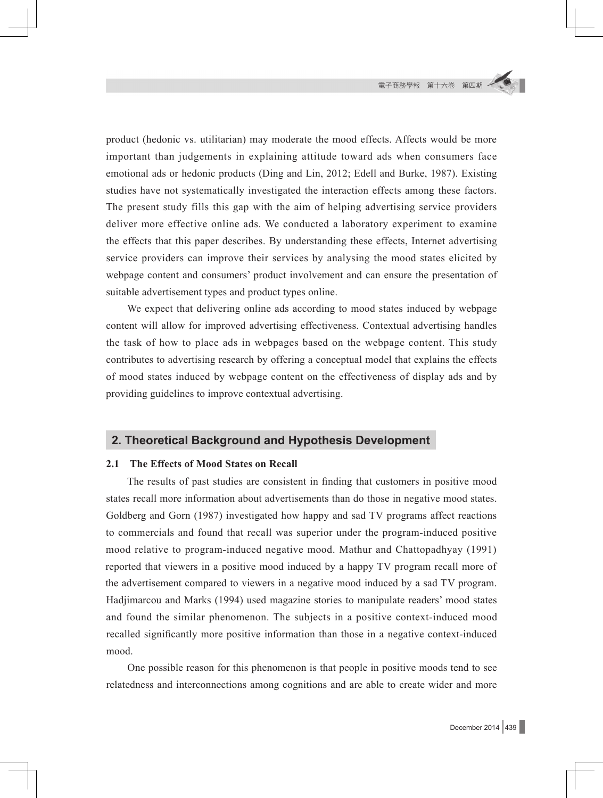product (hedonic vs. utilitarian) may moderate the mood effects. Affects would be more important than judgements in explaining attitude toward ads when consumers face emotional ads or hedonic products (Ding and Lin, 2012; Edell and Burke, 1987). Existing studies have not systematically investigated the interaction effects among these factors. The present study fills this gap with the aim of helping advertising service providers deliver more effective online ads. We conducted a laboratory experiment to examine the effects that this paper describes. By understanding these effects, Internet advertising service providers can improve their services by analysing the mood states elicited by webpage content and consumers' product involvement and can ensure the presentation of suitable advertisement types and product types online.

We expect that delivering online ads according to mood states induced by webpage content will allow for improved advertising effectiveness. Contextual advertising handles the task of how to place ads in webpages based on the webpage content. This study contributes to advertising research by offering a conceptual model that explains the effects of mood states induced by webpage content on the effectiveness of display ads and by providing guidelines to improve contextual advertising.

#### **2. Theoretical Background and Hypothesis Development**

#### **2.1 The Effects of Mood States on Recall**

The results of past studies are consistent in finding that customers in positive mood states recall more information about advertisements than do those in negative mood states. Goldberg and Gorn (1987) investigated how happy and sad TV programs affect reactions to commercials and found that recall was superior under the program-induced positive mood relative to program-induced negative mood. Mathur and Chattopadhyay (1991) reported that viewers in a positive mood induced by a happy TV program recall more of the advertisement compared to viewers in a negative mood induced by a sad TV program. Hadjimarcou and Marks (1994) used magazine stories to manipulate readers' mood states and found the similar phenomenon. The subjects in a positive context-induced mood recalled significantly more positive information than those in a negative context-induced mood.

One possible reason for this phenomenon is that people in positive moods tend to see relatedness and interconnections among cognitions and are able to create wider and more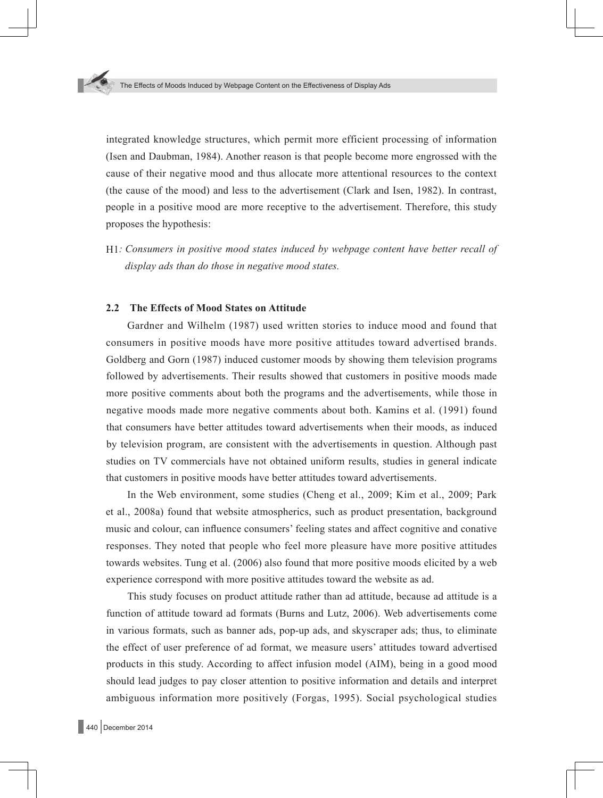integrated knowledge structures, which permit more efficient processing of information (Isen and Daubman, 1984). Another reason is that people become more engrossed with the cause of their negative mood and thus allocate more attentional resources to the context (the cause of the mood) and less to the advertisement (Clark and Isen, 1982). In contrast, people in a positive mood are more receptive to the advertisement. Therefore, this study proposes the hypothesis:

H1*: Consumers in positive mood states induced by webpage content have better recall of display ads than do those in negative mood states.*

#### **2.2 The Effects of Mood States on Attitude**

Gardner and Wilhelm (1987) used written stories to induce mood and found that consumers in positive moods have more positive attitudes toward advertised brands. Goldberg and Gorn (1987) induced customer moods by showing them television programs followed by advertisements. Their results showed that customers in positive moods made more positive comments about both the programs and the advertisements, while those in negative moods made more negative comments about both. Kamins et al. (1991) found that consumers have better attitudes toward advertisements when their moods, as induced by television program, are consistent with the advertisements in question. Although past studies on TV commercials have not obtained uniform results, studies in general indicate that customers in positive moods have better attitudes toward advertisements.

In the Web environment, some studies (Cheng et al., 2009; Kim et al., 2009; Park et al., 2008a) found that website atmospherics, such as product presentation, background music and colour, can influence consumers' feeling states and affect cognitive and conative responses. They noted that people who feel more pleasure have more positive attitudes towards websites. Tung et al. (2006) also found that more positive moods elicited by a web experience correspond with more positive attitudes toward the website as ad.

This study focuses on product attitude rather than ad attitude, because ad attitude is a function of attitude toward ad formats (Burns and Lutz, 2006). Web advertisements come in various formats, such as banner ads, pop-up ads, and skyscraper ads; thus, to eliminate the effect of user preference of ad format, we measure users' attitudes toward advertised products in this study. According to affect infusion model (AIM), being in a good mood should lead judges to pay closer attention to positive information and details and interpret ambiguous information more positively (Forgas, 1995). Social psychological studies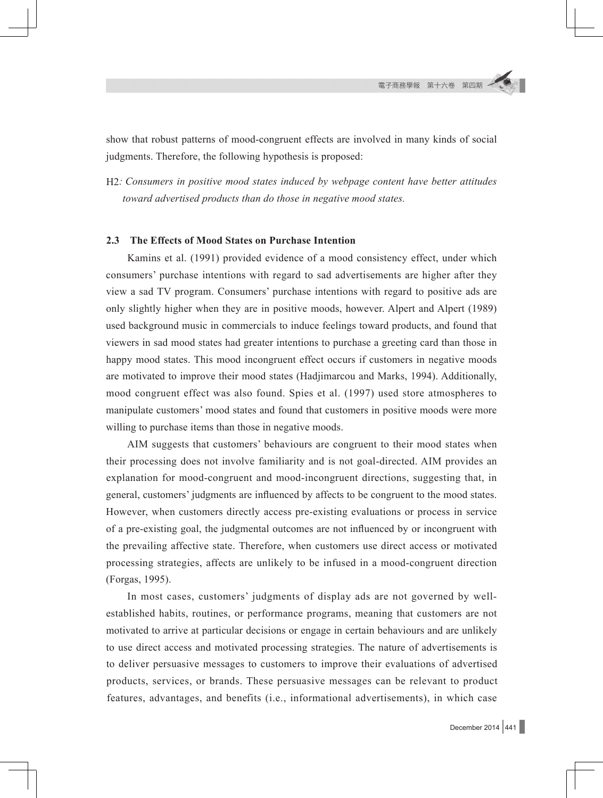show that robust patterns of mood-congruent effects are involved in many kinds of social judgments. Therefore, the following hypothesis is proposed:

H2*: Consumers in positive mood states induced by webpage content have better attitudes toward advertised products than do those in negative mood states.*

#### **2.3 The Effects of Mood States on Purchase Intention**

Kamins et al. (1991) provided evidence of a mood consistency effect, under which consumers' purchase intentions with regard to sad advertisements are higher after they view a sad TV program. Consumers' purchase intentions with regard to positive ads are only slightly higher when they are in positive moods, however. Alpert and Alpert (1989) used background music in commercials to induce feelings toward products, and found that viewers in sad mood states had greater intentions to purchase a greeting card than those in happy mood states. This mood incongruent effect occurs if customers in negative moods are motivated to improve their mood states (Hadjimarcou and Marks, 1994). Additionally, mood congruent effect was also found. Spies et al. (1997) used store atmospheres to manipulate customers' mood states and found that customers in positive moods were more willing to purchase items than those in negative moods.

AIM suggests that customers' behaviours are congruent to their mood states when their processing does not involve familiarity and is not goal-directed. AIM provides an explanation for mood-congruent and mood-incongruent directions, suggesting that, in general, customers' judgments are influenced by affects to be congruent to the mood states. However, when customers directly access pre-existing evaluations or process in service of a pre-existing goal, the judgmental outcomes are not influenced by or incongruent with the prevailing affective state. Therefore, when customers use direct access or motivated processing strategies, affects are unlikely to be infused in a mood-congruent direction (Forgas, 1995).

In most cases, customers' judgments of display ads are not governed by wellestablished habits, routines, or performance programs, meaning that customers are not motivated to arrive at particular decisions or engage in certain behaviours and are unlikely to use direct access and motivated processing strategies. The nature of advertisements is to deliver persuasive messages to customers to improve their evaluations of advertised products, services, or brands. These persuasive messages can be relevant to product features, advantages, and benefits (i.e., informational advertisements), in which case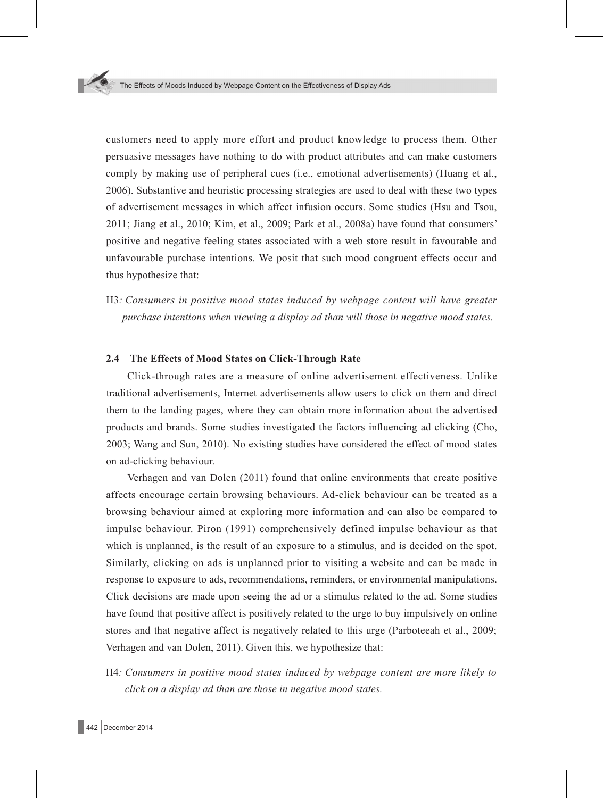customers need to apply more effort and product knowledge to process them. Other persuasive messages have nothing to do with product attributes and can make customers comply by making use of peripheral cues (i.e., emotional advertisements) (Huang et al., 2006). Substantive and heuristic processing strategies are used to deal with these two types of advertisement messages in which affect infusion occurs. Some studies (Hsu and Tsou, 2011; Jiang et al., 2010; Kim, et al., 2009; Park et al., 2008a) have found that consumers' positive and negative feeling states associated with a web store result in favourable and unfavourable purchase intentions. We posit that such mood congruent effects occur and thus hypothesize that:

H3*: Consumers in positive mood states induced by webpage content will have greater purchase intentions when viewing a display ad than will those in negative mood states.*

#### **2.4 The Effects of Mood States on Click-Through Rate**

Click-through rates are a measure of online advertisement effectiveness. Unlike traditional advertisements, Internet advertisements allow users to click on them and direct them to the landing pages, where they can obtain more information about the advertised products and brands. Some studies investigated the factors influencing ad clicking (Cho, 2003; Wang and Sun, 2010). No existing studies have considered the effect of mood states on ad-clicking behaviour.

Verhagen and van Dolen (2011) found that online environments that create positive affects encourage certain browsing behaviours. Ad-click behaviour can be treated as a browsing behaviour aimed at exploring more information and can also be compared to impulse behaviour. Piron (1991) comprehensively defined impulse behaviour as that which is unplanned, is the result of an exposure to a stimulus, and is decided on the spot. Similarly, clicking on ads is unplanned prior to visiting a website and can be made in response to exposure to ads, recommendations, reminders, or environmental manipulations. Click decisions are made upon seeing the ad or a stimulus related to the ad. Some studies have found that positive affect is positively related to the urge to buy impulsively on online stores and that negative affect is negatively related to this urge (Parboteeah et al., 2009; Verhagen and van Dolen, 2011). Given this, we hypothesize that:

H4*: Consumers in positive mood states induced by webpage content are more likely to click on a display ad than are those in negative mood states.*

442 December 2014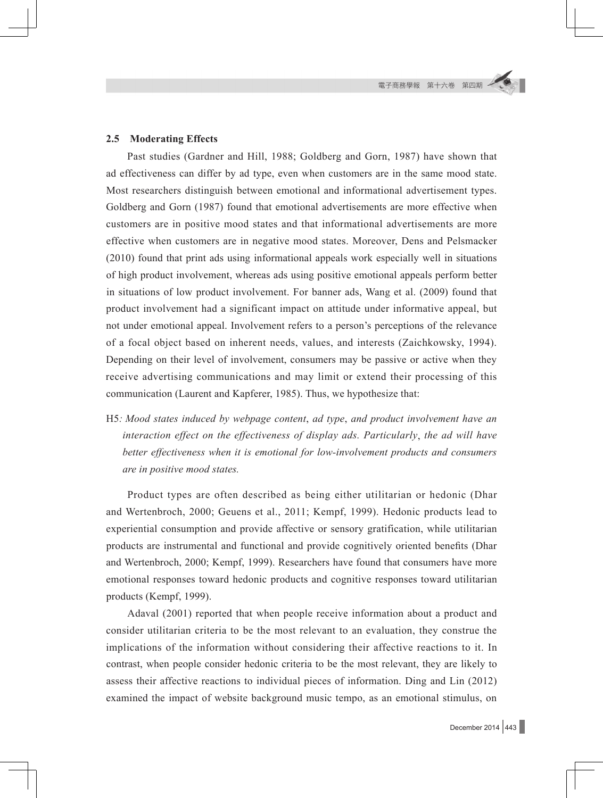#### **2.5 Moderating Effects**

Past studies (Gardner and Hill, 1988; Goldberg and Gorn, 1987) have shown that ad effectiveness can differ by ad type, even when customers are in the same mood state. Most researchers distinguish between emotional and informational advertisement types. Goldberg and Gorn (1987) found that emotional advertisements are more effective when customers are in positive mood states and that informational advertisements are more effective when customers are in negative mood states. Moreover, Dens and Pelsmacker (2010) found that print ads using informational appeals work especially well in situations of high product involvement, whereas ads using positive emotional appeals perform better in situations of low product involvement. For banner ads, Wang et al. (2009) found that product involvement had a significant impact on attitude under informative appeal, but not under emotional appeal. Involvement refers to a person's perceptions of the relevance of a focal object based on inherent needs, values, and interests (Zaichkowsky, 1994). Depending on their level of involvement, consumers may be passive or active when they receive advertising communications and may limit or extend their processing of this communication (Laurent and Kapferer, 1985). Thus, we hypothesize that:

H5*: Mood states induced by webpage content*, *ad type*, *and product involvement have an interaction effect on the effectiveness of display ads. Particularly*, *the ad will have better effectiveness when it is emotional for low-involvement products and consumers are in positive mood states.*

Product types are often described as being either utilitarian or hedonic (Dhar and Wertenbroch, 2000; Geuens et al., 2011; Kempf, 1999). Hedonic products lead to experiential consumption and provide affective or sensory gratification, while utilitarian products are instrumental and functional and provide cognitively oriented benefits (Dhar and Wertenbroch, 2000; Kempf, 1999). Researchers have found that consumers have more emotional responses toward hedonic products and cognitive responses toward utilitarian products (Kempf, 1999).

Adaval (2001) reported that when people receive information about a product and consider utilitarian criteria to be the most relevant to an evaluation, they construe the implications of the information without considering their affective reactions to it. In contrast, when people consider hedonic criteria to be the most relevant, they are likely to assess their affective reactions to individual pieces of information. Ding and Lin (2012) examined the impact of website background music tempo, as an emotional stimulus, on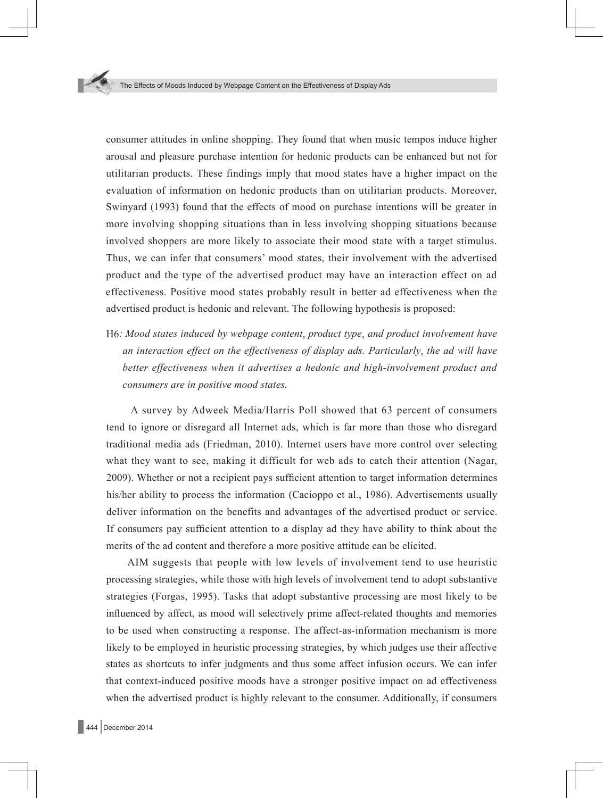consumer attitudes in online shopping. They found that when music tempos induce higher arousal and pleasure purchase intention for hedonic products can be enhanced but not for utilitarian products. These findings imply that mood states have a higher impact on the evaluation of information on hedonic products than on utilitarian products. Moreover, Swinyard (1993) found that the effects of mood on purchase intentions will be greater in more involving shopping situations than in less involving shopping situations because involved shoppers are more likely to associate their mood state with a target stimulus. Thus, we can infer that consumers' mood states, their involvement with the advertised product and the type of the advertised product may have an interaction effect on ad effectiveness. Positive mood states probably result in better ad effectiveness when the advertised product is hedonic and relevant. The following hypothesis is proposed:

H6*: Mood states induced by webpage content*, *product type*, *and product involvement have an interaction effect on the effectiveness of display ads. Particularly*, *the ad will have better effectiveness when it advertises a hedonic and high-involvement product and consumers are in positive mood states.*

A survey by Adweek Media/Harris Poll showed that 63 percent of consumers tend to ignore or disregard all Internet ads, which is far more than those who disregard traditional media ads (Friedman, 2010). Internet users have more control over selecting what they want to see, making it difficult for web ads to catch their attention (Nagar, 2009). Whether or not a recipient pays sufficient attention to target information determines his/her ability to process the information (Cacioppo et al., 1986). Advertisements usually deliver information on the benefits and advantages of the advertised product or service. If consumers pay sufficient attention to a display ad they have ability to think about the merits of the ad content and therefore a more positive attitude can be elicited.

AIM suggests that people with low levels of involvement tend to use heuristic processing strategies, while those with high levels of involvement tend to adopt substantive strategies (Forgas, 1995). Tasks that adopt substantive processing are most likely to be influenced by affect, as mood will selectively prime affect-related thoughts and memories to be used when constructing a response. The affect-as-information mechanism is more likely to be employed in heuristic processing strategies, by which judges use their affective states as shortcuts to infer judgments and thus some affect infusion occurs. We can infer that context-induced positive moods have a stronger positive impact on ad effectiveness when the advertised product is highly relevant to the consumer. Additionally, if consumers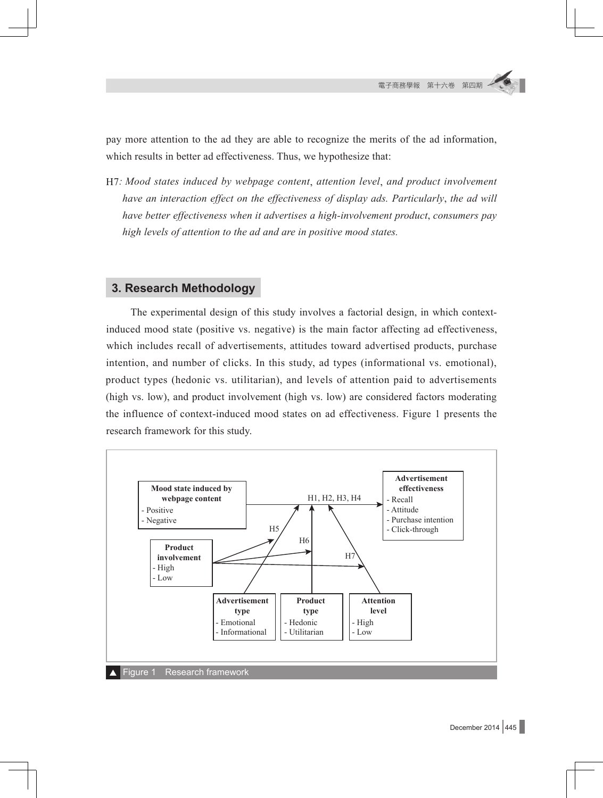pay more attention to the ad they are able to recognize the merits of the ad information, which results in better ad effectiveness. Thus, we hypothesize that:

H7*: Mood states induced by webpage content*, *attention level*, *and product involvement have an interaction effect on the effectiveness of display ads. Particularly*, *the ad will have better effectiveness when it advertises a high-involvement product*, *consumers pay high levels of attention to the ad and are in positive mood states.*

## **3. Research Methodology**

The experimental design of this study involves a factorial design, in which contextinduced mood state (positive vs. negative) is the main factor affecting ad effectiveness, which includes recall of advertisements, attitudes toward advertised products, purchase intention, and number of clicks. In this study, ad types (informational vs. emotional), product types (hedonic vs. utilitarian), and levels of attention paid to advertisements (high vs. low), and product involvement (high vs. low) are considered factors moderating the influence of context-induced mood states on ad effectiveness. Figure 1 presents the research framework for this study.



December 2014  $445$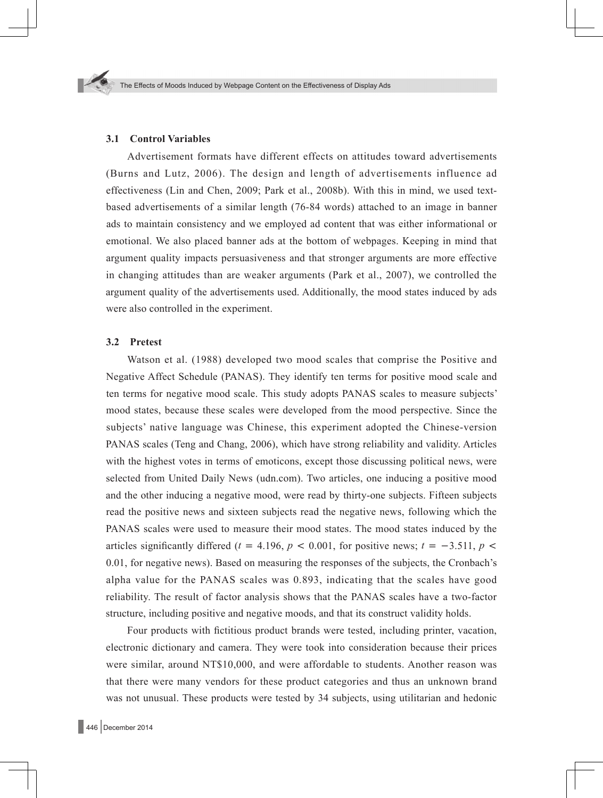#### **3.1 Control Variables**

Advertisement formats have different effects on attitudes toward advertisements (Burns and Lutz, 2006). The design and length of advertisements influence ad effectiveness (Lin and Chen, 2009; Park et al., 2008b). With this in mind, we used textbased advertisements of a similar length (76-84 words) attached to an image in banner ads to maintain consistency and we employed ad content that was either informational or emotional. We also placed banner ads at the bottom of webpages. Keeping in mind that argument quality impacts persuasiveness and that stronger arguments are more effective in changing attitudes than are weaker arguments (Park et al., 2007), we controlled the argument quality of the advertisements used. Additionally, the mood states induced by ads were also controlled in the experiment.

#### **3.2 Pretest**

Watson et al. (1988) developed two mood scales that comprise the Positive and Negative Affect Schedule (PANAS). They identify ten terms for positive mood scale and ten terms for negative mood scale. This study adopts PANAS scales to measure subjects' mood states, because these scales were developed from the mood perspective. Since the subjects' native language was Chinese, this experiment adopted the Chinese-version PANAS scales (Teng and Chang, 2006), which have strong reliability and validity. Articles with the highest votes in terms of emoticons, except those discussing political news, were selected from United Daily News (udn.com). Two articles, one inducing a positive mood and the other inducing a negative mood, were read by thirty-one subjects. Fifteen subjects read the positive news and sixteen subjects read the negative news, following which the PANAS scales were used to measure their mood states. The mood states induced by the articles significantly differed ( $t = 4.196$ ,  $p < 0.001$ , for positive news;  $t = -3.511$ ,  $p <$ 0.01, for negative news). Based on measuring the responses of the subjects, the Cronbach's alpha value for the PANAS scales was 0.893, indicating that the scales have good reliability. The result of factor analysis shows that the PANAS scales have a two-factor structure, including positive and negative moods, and that its construct validity holds.

Four products with fictitious product brands were tested, including printer, vacation, electronic dictionary and camera. They were took into consideration because their prices were similar, around NT\$10,000, and were affordable to students. Another reason was that there were many vendors for these product categories and thus an unknown brand was not unusual. These products were tested by 34 subjects, using utilitarian and hedonic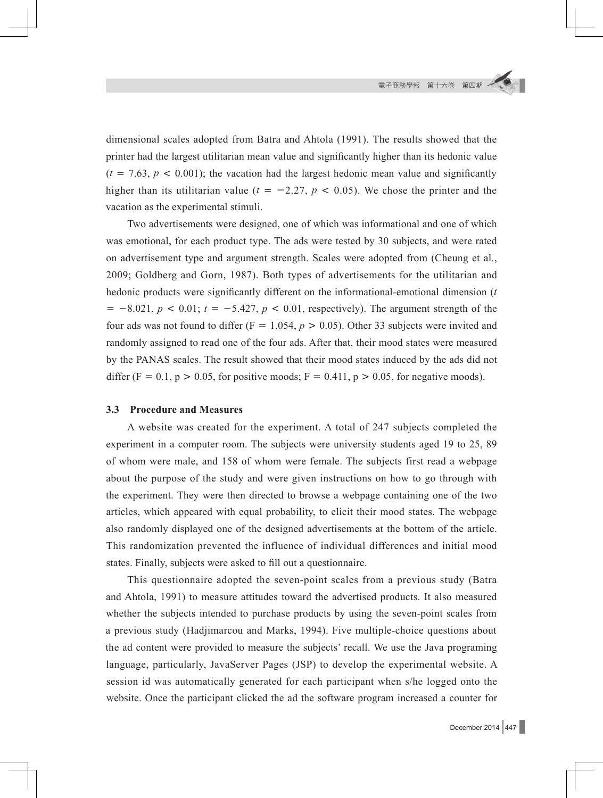dimensional scales adopted from Batra and Ahtola (1991). The results showed that the printer had the largest utilitarian mean value and significantly higher than its hedonic value  $(t = 7.63, p < 0.001)$ ; the vacation had the largest hedonic mean value and significantly higher than its utilitarian value ( $t = -2.27$ ,  $p < 0.05$ ). We chose the printer and the vacation as the experimental stimuli.

Two advertisements were designed, one of which was informational and one of which was emotional, for each product type. The ads were tested by 30 subjects, and were rated on advertisement type and argument strength. Scales were adopted from (Cheung et al., 2009; Goldberg and Gorn, 1987). Both types of advertisements for the utilitarian and hedonic products were significantly different on the informational-emotional dimension (*t*  $=$  -8.021,  $p$  < 0.01;  $t = -5.427$ ,  $p$  < 0.01, respectively). The argument strength of the four ads was not found to differ ( $F = 1.054$ ,  $p > 0.05$ ). Other 33 subjects were invited and randomly assigned to read one of the four ads. After that, their mood states were measured by the PANAS scales. The result showed that their mood states induced by the ads did not differ (F = 0.1, p > 0.05, for positive moods; F = 0.411, p > 0.05, for negative moods).

#### **3.3 Procedure and Measures**

A website was created for the experiment. A total of 247 subjects completed the experiment in a computer room. The subjects were university students aged 19 to 25, 89 of whom were male, and 158 of whom were female. The subjects first read a webpage about the purpose of the study and were given instructions on how to go through with the experiment. They were then directed to browse a webpage containing one of the two articles, which appeared with equal probability, to elicit their mood states. The webpage also randomly displayed one of the designed advertisements at the bottom of the article. This randomization prevented the influence of individual differences and initial mood states. Finally, subjects were asked to fill out a questionnaire.

This questionnaire adopted the seven-point scales from a previous study (Batra and Ahtola, 1991) to measure attitudes toward the advertised products. It also measured whether the subjects intended to purchase products by using the seven-point scales from a previous study (Hadjimarcou and Marks, 1994). Five multiple-choice questions about the ad content were provided to measure the subjects' recall. We use the Java programing language, particularly, JavaServer Pages (JSP) to develop the experimental website. A session id was automatically generated for each participant when s/he logged onto the website. Once the participant clicked the ad the software program increased a counter for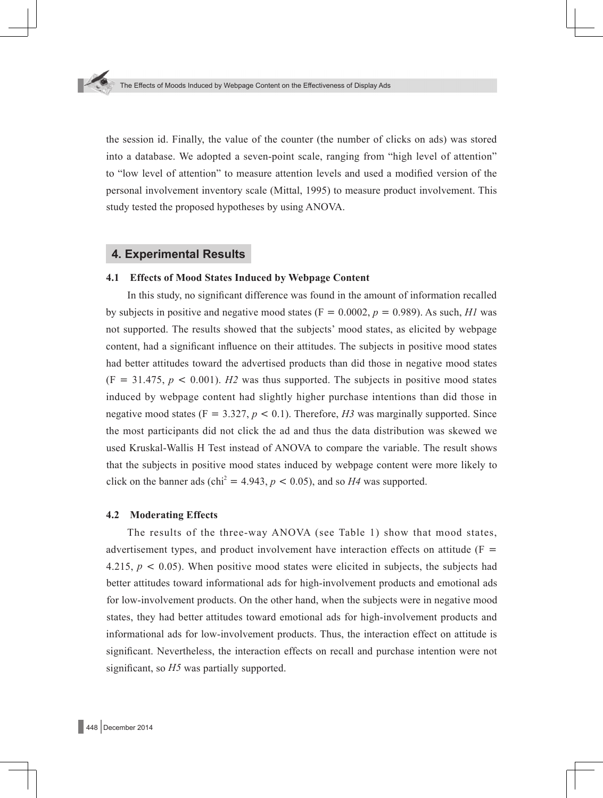the session id. Finally, the value of the counter (the number of clicks on ads) was stored into a database. We adopted a seven-point scale, ranging from "high level of attention" to "low level of attention" to measure attention levels and used a modified version of the personal involvement inventory scale (Mittal, 1995) to measure product involvement. This study tested the proposed hypotheses by using ANOVA.

### **4. Experimental Results**

#### **4.1 Effects of Mood States Induced by Webpage Content**

In this study, no significant difference was found in the amount of information recalled by subjects in positive and negative mood states ( $F = 0.0002$ ,  $p = 0.989$ ). As such, *H1* was not supported. The results showed that the subjects' mood states, as elicited by webpage content, had a significant influence on their attitudes. The subjects in positive mood states had better attitudes toward the advertised products than did those in negative mood states  $(F = 31.475, p < 0.001)$ . *H2* was thus supported. The subjects in positive mood states induced by webpage content had slightly higher purchase intentions than did those in negative mood states ( $F = 3.327$ ,  $p < 0.1$ ). Therefore, *H3* was marginally supported. Since the most participants did not click the ad and thus the data distribution was skewed we used Kruskal-Wallis H Test instead of ANOVA to compare the variable. The result shows that the subjects in positive mood states induced by webpage content were more likely to click on the banner ads (chi<sup>2</sup> = 4.943,  $p < 0.05$ ), and so *H4* was supported.

#### **4.2 Moderating Effects**

The results of the three-way ANOVA (see Table 1) show that mood states, advertisement types, and product involvement have interaction effects on attitude  $(F =$ 4.215,  $p < 0.05$ ). When positive mood states were elicited in subjects, the subjects had better attitudes toward informational ads for high-involvement products and emotional ads for low-involvement products. On the other hand, when the subjects were in negative mood states, they had better attitudes toward emotional ads for high-involvement products and informational ads for low-involvement products. Thus, the interaction effect on attitude is significant. Nevertheless, the interaction effects on recall and purchase intention were not significant, so *H5* was partially supported.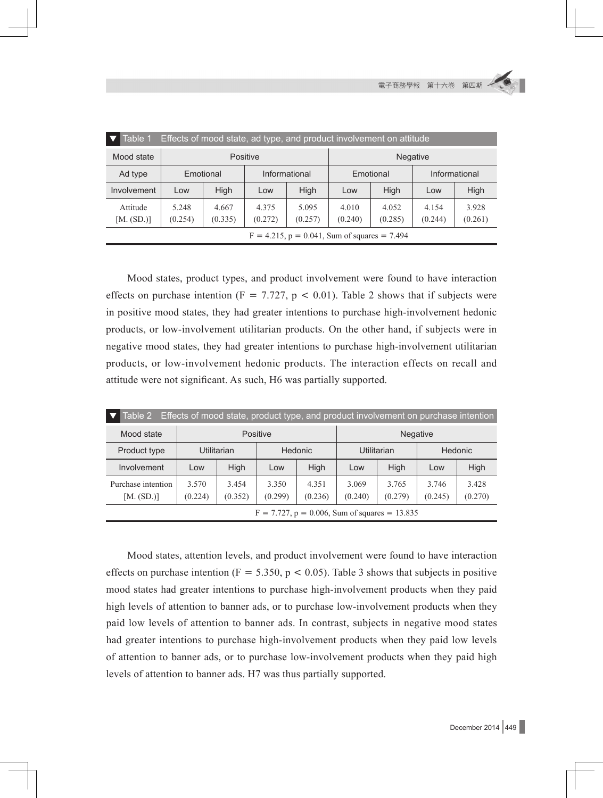電子商務學報 第十六卷 第四期

| Table 1<br>Effects of mood state, ad type, and product involvement on attitude |                  |                  |                  |                  |                  |                  |                  |                  |  |
|--------------------------------------------------------------------------------|------------------|------------------|------------------|------------------|------------------|------------------|------------------|------------------|--|
| Mood state                                                                     | <b>Positive</b>  |                  |                  |                  | <b>Negative</b>  |                  |                  |                  |  |
| Ad type                                                                        |                  | Emotional        |                  | Informational    |                  | Emotional        |                  | Informational    |  |
| Involvement                                                                    | Low              | High             | Low              | High             | Low              | High             | Low              | <b>High</b>      |  |
| Attitude<br>[M. (SD.)]                                                         | 5.248<br>(0.254) | 4.667<br>(0.335) | 4.375<br>(0.272) | 5.095<br>(0.257) | 4.010<br>(0.240) | 4.052<br>(0.285) | 4.154<br>(0.244) | 3.928<br>(0.261) |  |
| $F = 4.215$ , $p = 0.041$ , Sum of squares = 7.494                             |                  |                  |                  |                  |                  |                  |                  |                  |  |

Mood states, product types, and product involvement were found to have interaction effects on purchase intention ( $F = 7.727$ ,  $p < 0.01$ ). Table 2 shows that if subjects were in positive mood states, they had greater intentions to purchase high-involvement hedonic products, or low-involvement utilitarian products. On the other hand, if subjects were in negative mood states, they had greater intentions to purchase high-involvement utilitarian products, or low-involvement hedonic products. The interaction effects on recall and attitude were not significant. As such, H6 was partially supported.

| Effects of mood state, product type, and product involvement on purchase intention<br>Table 2 |                    |                  |                  |                  |                  |                  |                  |                  |  |
|-----------------------------------------------------------------------------------------------|--------------------|------------------|------------------|------------------|------------------|------------------|------------------|------------------|--|
| Mood state                                                                                    | Positive           |                  |                  |                  | <b>Negative</b>  |                  |                  |                  |  |
| Product type                                                                                  | <b>Utilitarian</b> |                  | <b>Hedonic</b>   |                  | Utilitarian      |                  | Hedonic          |                  |  |
| Involvement                                                                                   | Low                | <b>High</b>      | Low              | <b>High</b>      | Low              | High             | Low              | High             |  |
| Purchase intention<br>[M. (SD.)]                                                              | 3.570<br>(0.224)   | 3.454<br>(0.352) | 3.350<br>(0.299) | 4.351<br>(0.236) | 3.069<br>(0.240) | 3.765<br>(0.279) | 3.746<br>(0.245) | 3.428<br>(0.270) |  |
| $F = 7.727$ , $p = 0.006$ , Sum of squares = 13.835                                           |                    |                  |                  |                  |                  |                  |                  |                  |  |

Mood states, attention levels, and product involvement were found to have interaction effects on purchase intention ( $F = 5.350$ ,  $p < 0.05$ ). Table 3 shows that subjects in positive mood states had greater intentions to purchase high-involvement products when they paid high levels of attention to banner ads, or to purchase low-involvement products when they paid low levels of attention to banner ads. In contrast, subjects in negative mood states had greater intentions to purchase high-involvement products when they paid low levels of attention to banner ads, or to purchase low-involvement products when they paid high levels of attention to banner ads. H7 was thus partially supported.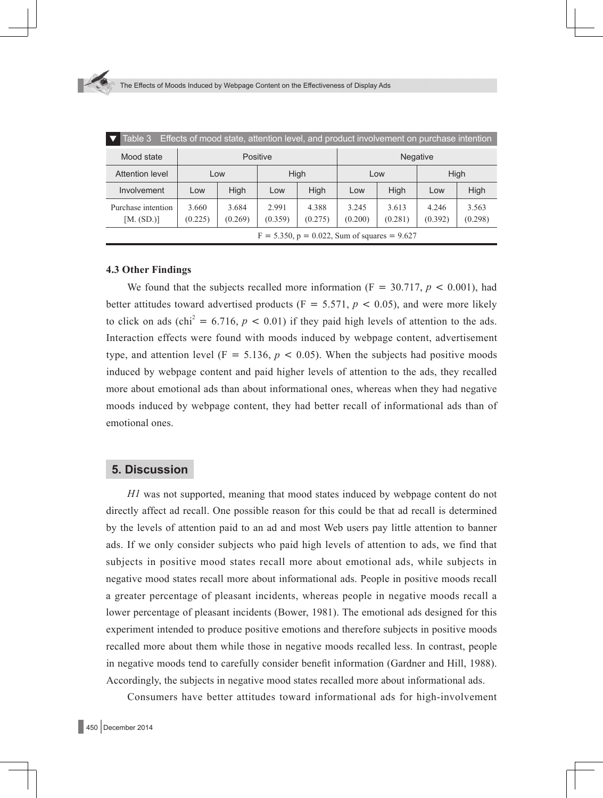| Table 3<br>Effects of mood state, attention level, and product involvement on purchase intention |                  |                  |                  |                  |                  |                  |                  |                  |  |  |
|--------------------------------------------------------------------------------------------------|------------------|------------------|------------------|------------------|------------------|------------------|------------------|------------------|--|--|
| Mood state                                                                                       |                  |                  | Positive         |                  | <b>Negative</b>  |                  |                  |                  |  |  |
| Attention level                                                                                  | Low              |                  | High             |                  | Low              |                  | High             |                  |  |  |
| Involvement                                                                                      | Low              | <b>High</b>      | Low              | High             | Low              | High             | Low              | High             |  |  |
| Purchase intention<br>[M. (SD.)]                                                                 | 3.660<br>(0.225) | 3.684<br>(0.269) | 2.991<br>(0.359) | 4.388<br>(0.275) | 3.245<br>(0.200) | 3.613<br>(0.281) | 4.246<br>(0.392) | 3.563<br>(0.298) |  |  |
| $F = 5.350$ , $p = 0.022$ , Sum of squares = 9.627                                               |                  |                  |                  |                  |                  |                  |                  |                  |  |  |

#### **4.3 Other Findings**

We found that the subjects recalled more information ( $F = 30.717$ ,  $p < 0.001$ ), had better attitudes toward advertised products ( $F = 5.571$ ,  $p < 0.05$ ), and were more likely to click on ads (chi<sup>2</sup> = 6.716,  $p < 0.01$ ) if they paid high levels of attention to the ads. Interaction effects were found with moods induced by webpage content, advertisement type, and attention level ( $F = 5.136$ ,  $p < 0.05$ ). When the subjects had positive moods induced by webpage content and paid higher levels of attention to the ads, they recalled more about emotional ads than about informational ones, whereas when they had negative moods induced by webpage content, they had better recall of informational ads than of emotional ones.

### **5. Discussion**

*H1* was not supported, meaning that mood states induced by webpage content do not directly affect ad recall. One possible reason for this could be that ad recall is determined by the levels of attention paid to an ad and most Web users pay little attention to banner ads. If we only consider subjects who paid high levels of attention to ads, we find that subjects in positive mood states recall more about emotional ads, while subjects in negative mood states recall more about informational ads. People in positive moods recall a greater percentage of pleasant incidents, whereas people in negative moods recall a lower percentage of pleasant incidents (Bower, 1981). The emotional ads designed for this experiment intended to produce positive emotions and therefore subjects in positive moods recalled more about them while those in negative moods recalled less. In contrast, people in negative moods tend to carefully consider benefit information (Gardner and Hill, 1988). Accordingly, the subjects in negative mood states recalled more about informational ads.

Consumers have better attitudes toward informational ads for high-involvement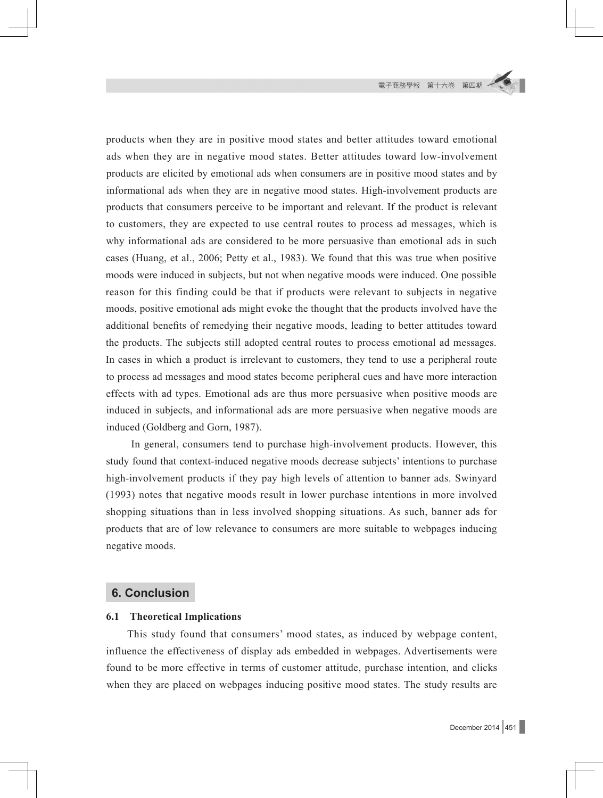products when they are in positive mood states and better attitudes toward emotional ads when they are in negative mood states. Better attitudes toward low-involvement products are elicited by emotional ads when consumers are in positive mood states and by informational ads when they are in negative mood states. High-involvement products are products that consumers perceive to be important and relevant. If the product is relevant to customers, they are expected to use central routes to process ad messages, which is why informational ads are considered to be more persuasive than emotional ads in such cases (Huang, et al., 2006; Petty et al., 1983). We found that this was true when positive moods were induced in subjects, but not when negative moods were induced. One possible reason for this finding could be that if products were relevant to subjects in negative moods, positive emotional ads might evoke the thought that the products involved have the additional benefits of remedying their negative moods, leading to better attitudes toward the products. The subjects still adopted central routes to process emotional ad messages. In cases in which a product is irrelevant to customers, they tend to use a peripheral route to process ad messages and mood states become peripheral cues and have more interaction effects with ad types. Emotional ads are thus more persuasive when positive moods are induced in subjects, and informational ads are more persuasive when negative moods are induced (Goldberg and Gorn, 1987).

In general, consumers tend to purchase high-involvement products. However, this study found that context-induced negative moods decrease subjects' intentions to purchase high-involvement products if they pay high levels of attention to banner ads. Swinyard (1993) notes that negative moods result in lower purchase intentions in more involved shopping situations than in less involved shopping situations. As such, banner ads for products that are of low relevance to consumers are more suitable to webpages inducing negative moods.

#### **6. Conclusion**

#### **6.1 Theoretical Implications**

This study found that consumers' mood states, as induced by webpage content, influence the effectiveness of display ads embedded in webpages. Advertisements were found to be more effective in terms of customer attitude, purchase intention, and clicks when they are placed on webpages inducing positive mood states. The study results are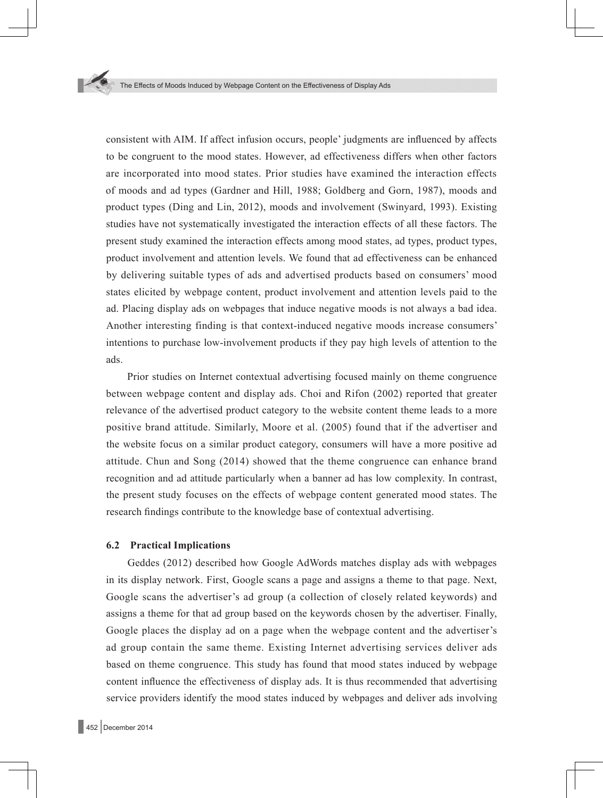consistent with AIM. If affect infusion occurs, people' judgments are influenced by affects to be congruent to the mood states. However, ad effectiveness differs when other factors are incorporated into mood states. Prior studies have examined the interaction effects of moods and ad types (Gardner and Hill, 1988; Goldberg and Gorn, 1987), moods and product types (Ding and Lin, 2012), moods and involvement (Swinyard, 1993). Existing studies have not systematically investigated the interaction effects of all these factors. The present study examined the interaction effects among mood states, ad types, product types, product involvement and attention levels. We found that ad effectiveness can be enhanced by delivering suitable types of ads and advertised products based on consumers' mood states elicited by webpage content, product involvement and attention levels paid to the ad. Placing display ads on webpages that induce negative moods is not always a bad idea. Another interesting finding is that context-induced negative moods increase consumers' intentions to purchase low-involvement products if they pay high levels of attention to the ads.

Prior studies on Internet contextual advertising focused mainly on theme congruence between webpage content and display ads. Choi and Rifon (2002) reported that greater relevance of the advertised product category to the website content theme leads to a more positive brand attitude. Similarly, Moore et al. (2005) found that if the advertiser and the website focus on a similar product category, consumers will have a more positive ad attitude. Chun and Song (2014) showed that the theme congruence can enhance brand recognition and ad attitude particularly when a banner ad has low complexity. In contrast, the present study focuses on the effects of webpage content generated mood states. The research findings contribute to the knowledge base of contextual advertising.

#### **6.2 Practical Implications**

Geddes (2012) described how Google AdWords matches display ads with webpages in its display network. First, Google scans a page and assigns a theme to that page. Next, Google scans the advertiser's ad group (a collection of closely related keywords) and assigns a theme for that ad group based on the keywords chosen by the advertiser. Finally, Google places the display ad on a page when the webpage content and the advertiser's ad group contain the same theme. Existing Internet advertising services deliver ads based on theme congruence. This study has found that mood states induced by webpage content influence the effectiveness of display ads. It is thus recommended that advertising service providers identify the mood states induced by webpages and deliver ads involving

452 December 2014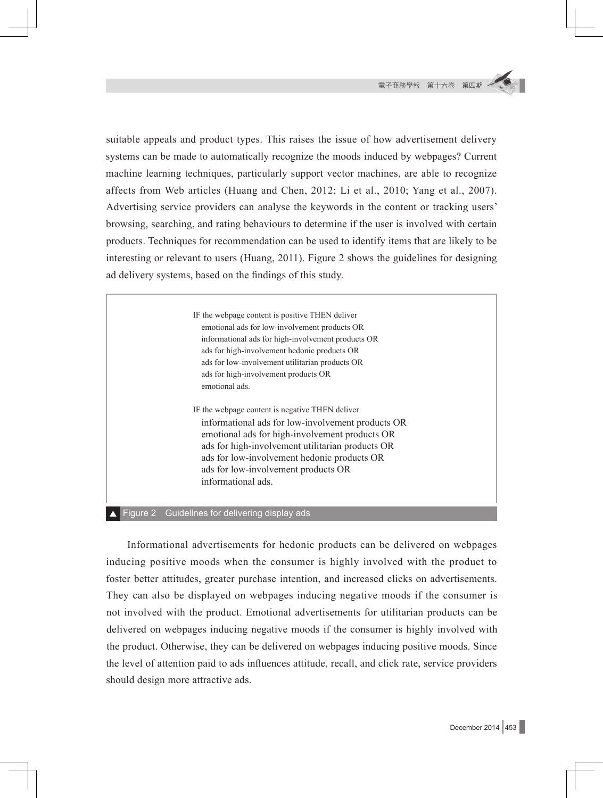suitable appeals and product types. This raises the issue of how advertisement delivery systems can be made to automatically recognize the moods induced by webpages? Current machine learning techniques, particularly support vector machines, are able to recognize affects from Web articles (Huang and Chen, 2012; Li et al., 2010; Yang et al., 2007). Advertising service providers can analyse the keywords in the content or tracking users' browsing, searching, and rating behaviours to determine if the user is involved with certain products. Techniques for recommendation can be used to identify items that are likely to be interesting or relevant to users (Huang, 2011). Figure 2 shows the guidelines for designing ad delivery systems, based on the findings of this study.

> IF the webpage content is positive THEN deliver emotional ads for low-involvement products OR informational ads for high-involvement products OR ads for high-involvement hedonic products OR ads for low-involvement utilitarian products OR ads for high-involvement products OR emotional ads. IF the webpage content is negative THEN deliver

informational ads for low-involvement products OR emotional ads for high-involvement products OR ads for high-involvement utilitarian products OR ads for low-involvement hedonic products OR ads for low-involvement products OR informational ads.

■ Figure 2 Guidelines for delivering display ads

Informational advertisements for hedonic products can be delivered on webpages inducing positive moods when the consumer is highly involved with the product to foster better attitudes, greater purchase intention, and increased clicks on advertisements. They can also be displayed on webpages inducing negative moods if the consumer is not involved with the product. Emotional advertisements for utilitarian products can be delivered on webpages inducing negative moods if the consumer is highly involved with the product. Otherwise, they can be delivered on webpages inducing positive moods. Since the level of attention paid to ads influences attitude, recall, and click rate, service providers should design more attractive ads.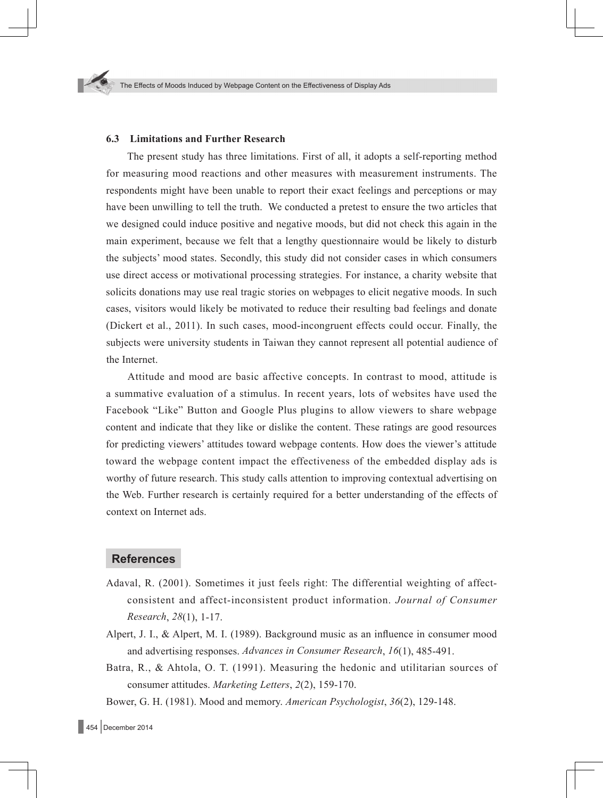#### **6.3 Limitations and Further Research**

The present study has three limitations. First of all, it adopts a self-reporting method for measuring mood reactions and other measures with measurement instruments. The respondents might have been unable to report their exact feelings and perceptions or may have been unwilling to tell the truth. We conducted a pretest to ensure the two articles that we designed could induce positive and negative moods, but did not check this again in the main experiment, because we felt that a lengthy questionnaire would be likely to disturb the subjects' mood states. Secondly, this study did not consider cases in which consumers use direct access or motivational processing strategies. For instance, a charity website that solicits donations may use real tragic stories on webpages to elicit negative moods. In such cases, visitors would likely be motivated to reduce their resulting bad feelings and donate (Dickert et al., 2011). In such cases, mood-incongruent effects could occur. Finally, the subjects were university students in Taiwan they cannot represent all potential audience of the Internet.

Attitude and mood are basic affective concepts. In contrast to mood, attitude is a summative evaluation of a stimulus. In recent years, lots of websites have used the Facebook "Like" Button and Google Plus plugins to allow viewers to share webpage content and indicate that they like or dislike the content. These ratings are good resources for predicting viewers' attitudes toward webpage contents. How does the viewer's attitude toward the webpage content impact the effectiveness of the embedded display ads is worthy of future research. This study calls attention to improving contextual advertising on the Web. Further research is certainly required for a better understanding of the effects of context on Internet ads.

#### **References**

- Adaval, R. (2001). Sometimes it just feels right: The differential weighting of affectconsistent and affect-inconsistent product information. *Journal of Consumer Research*, *28*(1), 1-17.
- Alpert, J. I., & Alpert, M. I. (1989). Background music as an influence in consumer mood and advertising responses. *Advances in Consumer Research*, *16*(1), 485-491.
- Batra, R., & Ahtola, O. T. (1991). Measuring the hedonic and utilitarian sources of consumer attitudes. *Marketing Letters*, *2*(2), 159-170.

Bower, G. H. (1981). Mood and memory. *American Psychologist*, *36*(2), 129-148.

 $\Box$  454 December 2014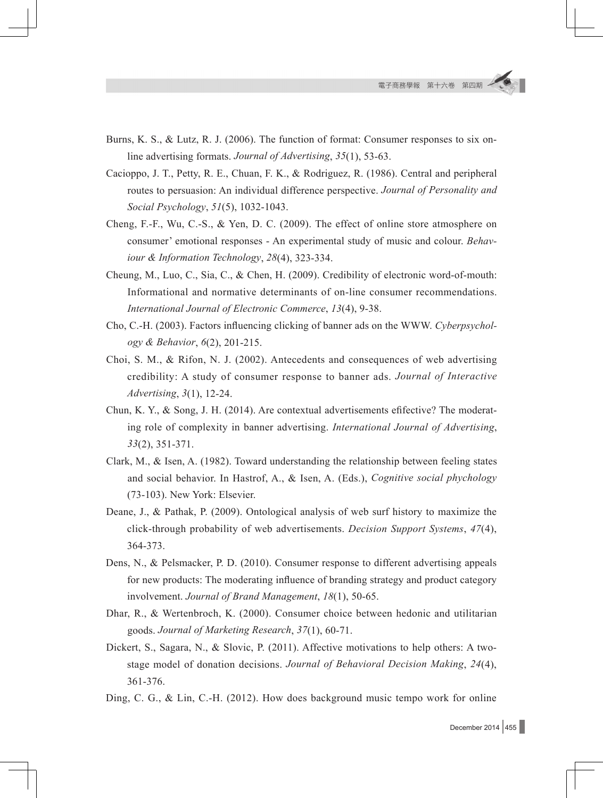- Burns, K. S., & Lutz, R. J. (2006). The function of format: Consumer responses to six online advertising formats. *Journal of Advertising*, *35*(1), 53-63.
- Cacioppo, J. T., Petty, R. E., Chuan, F. K., & Rodriguez, R. (1986). Central and peripheral routes to persuasion: An individual difference perspective. *Journal of Personality and Social Psychology*, *51*(5), 1032-1043.
- Cheng, F.-F., Wu, C.-S., & Yen, D. C. (2009). The effect of online store atmosphere on consumer' emotional responses - An experimental study of music and colour. *Behaviour & Information Technology*, *28*(4), 323-334.
- Cheung, M., Luo, C., Sia, C., & Chen, H. (2009). Credibility of electronic word-of-mouth: Informational and normative determinants of on-line consumer recommendations. *International Journal of Electronic Commerce*, *13*(4), 9-38.
- Cho, C.-H. (2003). Factors influencing clicking of banner ads on the WWW. *Cyberpsychology & Behavior*, *6*(2), 201-215.
- Choi, S. M., & Rifon, N. J. (2002). Antecedents and consequences of web advertising credibility: A study of consumer response to banner ads. *Journal of Interactive Advertising*, *3*(1), 12-24.
- Chun, K. Y., & Song, J. H. (2014). Are contextual advertisements efifective? The moderating role of complexity in banner advertising. *International Journal of Advertising*, *33*(2), 351-371.
- Clark, M., & Isen, A. (1982). Toward understanding the relationship between feeling states and social behavior. In Hastrof, A., & Isen, A. (Eds.), *Cognitive social phychology* (73-103). New York: Elsevier.
- Deane, J., & Pathak, P. (2009). Ontological analysis of web surf history to maximize the click-through probability of web advertisements. *Decision Support Systems*, *47*(4), 364-373.
- Dens, N., & Pelsmacker, P. D. (2010). Consumer response to different advertising appeals for new products: The moderating influence of branding strategy and product category involvement. *Journal of Brand Management*, *18*(1), 50-65.
- Dhar, R., & Wertenbroch, K. (2000). Consumer choice between hedonic and utilitarian goods. *Journal of Marketing Research*, *37*(1), 60-71.
- Dickert, S., Sagara, N., & Slovic, P. (2011). Affective motivations to help others: A twostage model of donation decisions. *Journal of Behavioral Decision Making*, *24*(4), 361-376.
- Ding, C. G., & Lin, C.-H. (2012). How does background music tempo work for online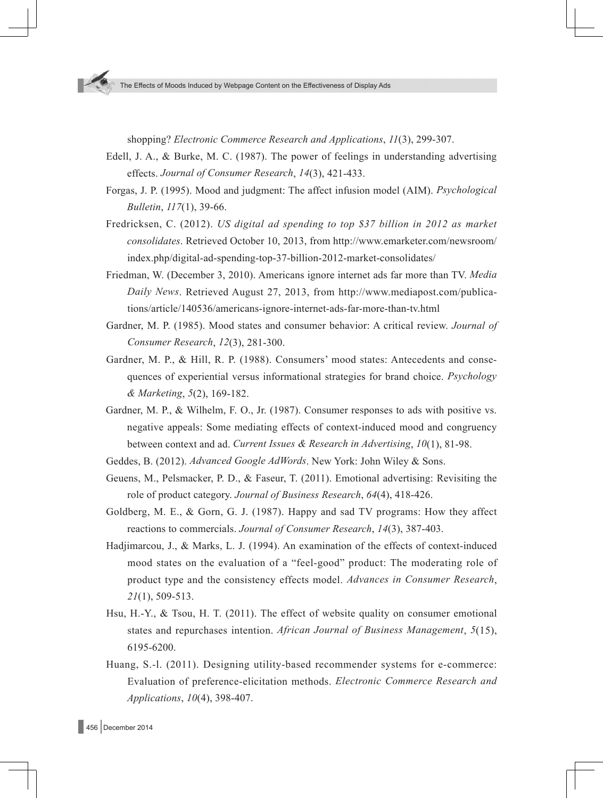shopping? *Electronic Commerce Research and Applications*, *11*(3), 299-307.

- Edell, J. A., & Burke, M. C. (1987). The power of feelings in understanding advertising effects. *Journal of Consumer Research*, *14*(3), 421-433.
- Forgas, J. P. (1995). Mood and judgment: The affect infusion model (AIM). *Psychological Bulletin*, *117*(1), 39-66.
- Fredricksen, C. (2012). *US digital ad spending to top \$37 billion in 2012 as market consolidates*. Retrieved October 10, 2013, from http://www.emarketer.com/newsroom/ index.php/digital-ad-spending-top-37-billion-2012-market-consolidates/
- Friedman, W. (December 3, 2010). Americans ignore internet ads far more than TV. *Media Daily News*. Retrieved August 27, 2013, from http://www.mediapost.com/publications/article/140536/americans-ignore-internet-ads-far-more-than-tv.html
- Gardner, M. P. (1985). Mood states and consumer behavior: A critical review. *Journal of Consumer Research*, *12*(3), 281-300.
- Gardner, M. P., & Hill, R. P. (1988). Consumers' mood states: Antecedents and consequences of experiential versus informational strategies for brand choice. *Psychology & Marketing*, *5*(2), 169-182.
- Gardner, M. P., & Wilhelm, F. O., Jr. (1987). Consumer responses to ads with positive vs. negative appeals: Some mediating effects of context-induced mood and congruency between context and ad. *Current Issues & Research in Advertising*, *10*(1), 81-98.
- Geddes, B. (2012). *Advanced Google AdWords*. New York: John Wiley & Sons.
- Geuens, M., Pelsmacker, P. D., & Faseur, T. (2011). Emotional advertising: Revisiting the role of product category. *Journal of Business Research*, *64*(4), 418-426.
- Goldberg, M. E., & Gorn, G. J. (1987). Happy and sad TV programs: How they affect reactions to commercials. *Journal of Consumer Research*, *14*(3), 387-403.
- Hadjimarcou, J., & Marks, L. J. (1994). An examination of the effects of context-induced mood states on the evaluation of a "feel-good" product: The moderating role of product type and the consistency effects model. *Advances in Consumer Research*, *21*(1), 509-513.
- Hsu, H.-Y., & Tsou, H. T. (2011). The effect of website quality on consumer emotional states and repurchases intention. *African Journal of Business Management*, *5*(15), 6195-6200.
- Huang, S.-l. (2011). Designing utility-based recommender systems for e-commerce: Evaluation of preference-elicitation methods. *Electronic Commerce Research and Applications*, *10*(4), 398-407.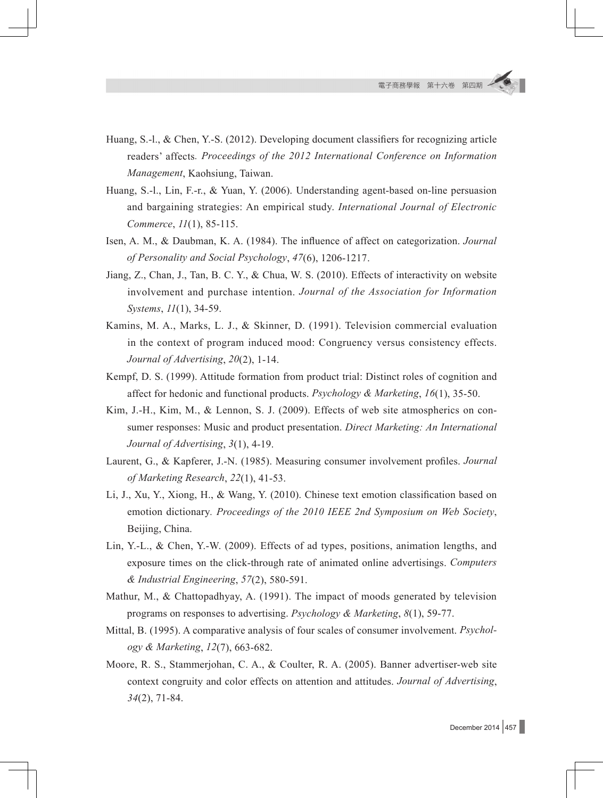- Huang, S.-l., & Chen, Y.-S. (2012). Developing document classifiers for recognizing article readers' affects*. Proceedings of the 2012 International Conference on Information Management*, Kaohsiung, Taiwan.
- Huang, S.-l., Lin, F.-r., & Yuan, Y. (2006). Understanding agent-based on-line persuasion and bargaining strategies: An empirical study. *International Journal of Electronic Commerce*, *11*(1), 85-115.
- Isen, A. M., & Daubman, K. A. (1984). The influence of affect on categorization. *Journal of Personality and Social Psychology*, *47*(6), 1206-1217.
- Jiang, Z., Chan, J., Tan, B. C. Y., & Chua, W. S. (2010). Effects of interactivity on website involvement and purchase intention. *Journal of the Association for Information Systems*, *11*(1), 34-59.
- Kamins, M. A., Marks, L. J., & Skinner, D. (1991). Television commercial evaluation in the context of program induced mood: Congruency versus consistency effects. *Journal of Advertising*, *20*(2), 1-14.
- Kempf, D. S. (1999). Attitude formation from product trial: Distinct roles of cognition and affect for hedonic and functional products. *Psychology & Marketing*, *16*(1), 35-50.
- Kim, J.-H., Kim, M., & Lennon, S. J. (2009). Effects of web site atmospherics on consumer responses: Music and product presentation. *Direct Marketing: An International Journal of Advertising*, *3*(1), 4-19.
- Laurent, G., & Kapferer, J.-N. (1985). Measuring consumer involvement profiles. *Journal of Marketing Research*, *22*(1), 41-53.
- Li, J., Xu, Y., Xiong, H., & Wang, Y. (2010). Chinese text emotion classification based on emotion dictionary*. Proceedings of the 2010 IEEE 2nd Symposium on Web Society*, Beijing, China.
- Lin, Y.-L., & Chen, Y.-W. (2009). Effects of ad types, positions, animation lengths, and exposure times on the click-through rate of animated online advertisings. *Computers & Industrial Engineering*, *57*(2), 580-591.
- Mathur, M., & Chattopadhyay, A. (1991). The impact of moods generated by television programs on responses to advertising. *Psychology & Marketing*, *8*(1), 59-77.
- Mittal, B. (1995). A comparative analysis of four scales of consumer involvement. *Psychology & Marketing*, *12*(7), 663-682.
- Moore, R. S., Stammerjohan, C. A., & Coulter, R. A. (2005). Banner advertiser-web site context congruity and color effects on attention and attitudes. *Journal of Advertising*, *34*(2), 71-84.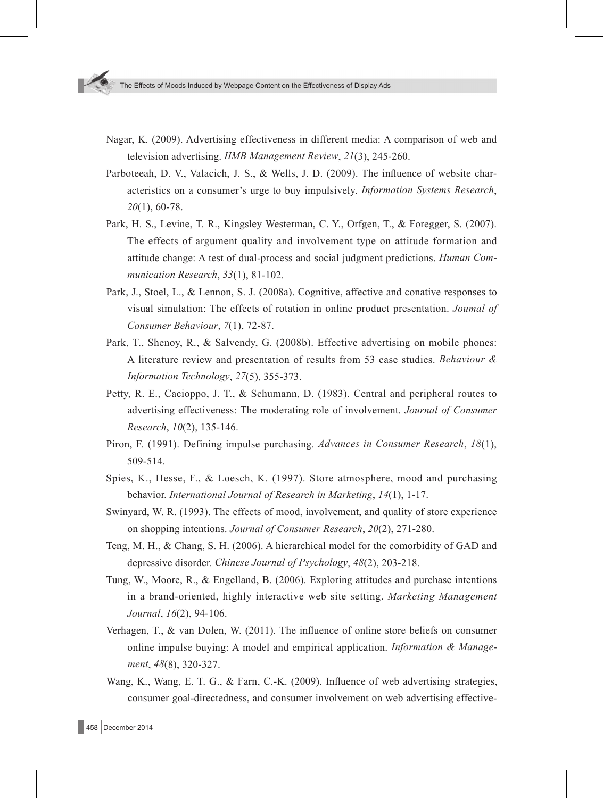- Nagar, K. (2009). Advertising effectiveness in different media: A comparison of web and television advertising. *IIMB Management Review*, *21*(3), 245-260.
- Parboteeah, D. V., Valacich, J. S., & Wells, J. D. (2009). The influence of website characteristics on a consumer's urge to buy impulsively. *Information Systems Research*, *20*(1), 60-78.
- Park, H. S., Levine, T. R., Kingsley Westerman, C. Y., Orfgen, T., & Foregger, S. (2007). The effects of argument quality and involvement type on attitude formation and attitude change: A test of dual-process and social judgment predictions. *Human Communication Research*, *33*(1), 81-102.
- Park, J., Stoel, L., & Lennon, S. J. (2008a). Cognitive, affective and conative responses to visual simulation: The effects of rotation in online product presentation. *Joumal of Consumer Behaviour*, *7*(1), 72-87.
- Park, T., Shenoy, R., & Salvendy, G. (2008b). Effective advertising on mobile phones: A literature review and presentation of results from 53 case studies. *Behaviour & Information Technology*, *27*(5), 355-373.
- Petty, R. E., Cacioppo, J. T., & Schumann, D. (1983). Central and peripheral routes to advertising effectiveness: The moderating role of involvement. *Journal of Consumer Research*, *10*(2), 135-146.
- Piron, F. (1991). Defining impulse purchasing. *Advances in Consumer Research*, *18*(1), 509-514.
- Spies, K., Hesse, F., & Loesch, K. (1997). Store atmosphere, mood and purchasing behavior. *International Journal of Research in Marketing*, *14*(1), 1-17.
- Swinyard, W. R. (1993). The effects of mood, involvement, and quality of store experience on shopping intentions. *Journal of Consumer Research*, *20*(2), 271-280.
- Teng, M. H., & Chang, S. H. (2006). A hierarchical model for the comorbidity of GAD and depressive disorder. *Chinese Journal of Psychology*, *48*(2), 203-218.
- Tung, W., Moore, R., & Engelland, B. (2006). Exploring attitudes and purchase intentions in a brand-oriented, highly interactive web site setting. *Marketing Management Journal*, *16*(2), 94-106.
- Verhagen, T., & van Dolen, W. (2011). The influence of online store beliefs on consumer online impulse buying: A model and empirical application. *Information & Management*, *48*(8), 320-327.
- Wang, K., Wang, E. T. G., & Farn, C.-K. (2009). Influence of web advertising strategies, consumer goal-directedness, and consumer involvement on web advertising effective-

458 December 2014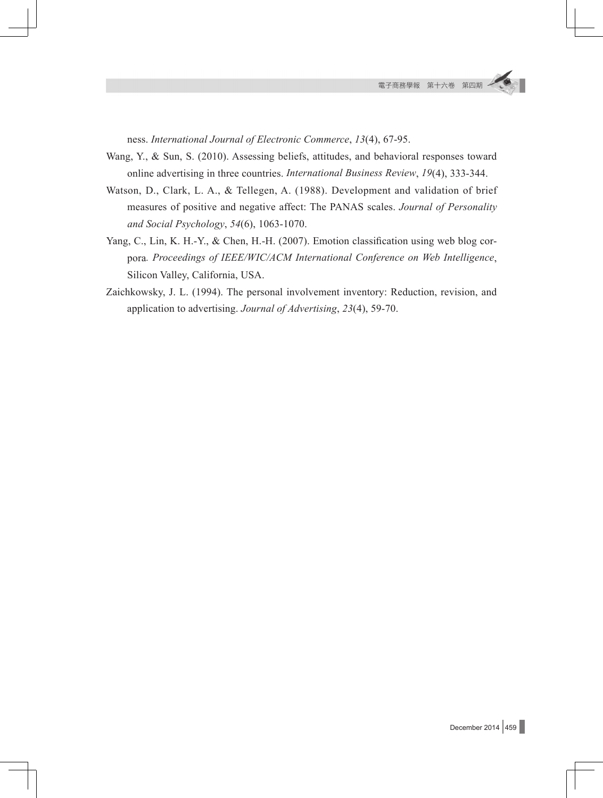ness. *International Journal of Electronic Commerce*, *13*(4), 67-95.

- Wang, Y., & Sun, S. (2010). Assessing beliefs, attitudes, and behavioral responses toward online advertising in three countries. *International Business Review*, *19*(4), 333-344.
- Watson, D., Clark, L. A., & Tellegen, A. (1988). Development and validation of brief measures of positive and negative affect: The PANAS scales. *Journal of Personality and Social Psychology*, *54*(6), 1063-1070.
- Yang, C., Lin, K. H.-Y., & Chen, H.-H. (2007). Emotion classification using web blog corpora*. Proceedings of IEEE/WIC/ACM International Conference on Web Intelligence*, Silicon Valley, California, USA.
- Zaichkowsky, J. L. (1994). The personal involvement inventory: Reduction, revision, and application to advertising. *Journal of Advertising*, *23*(4), 59-70.